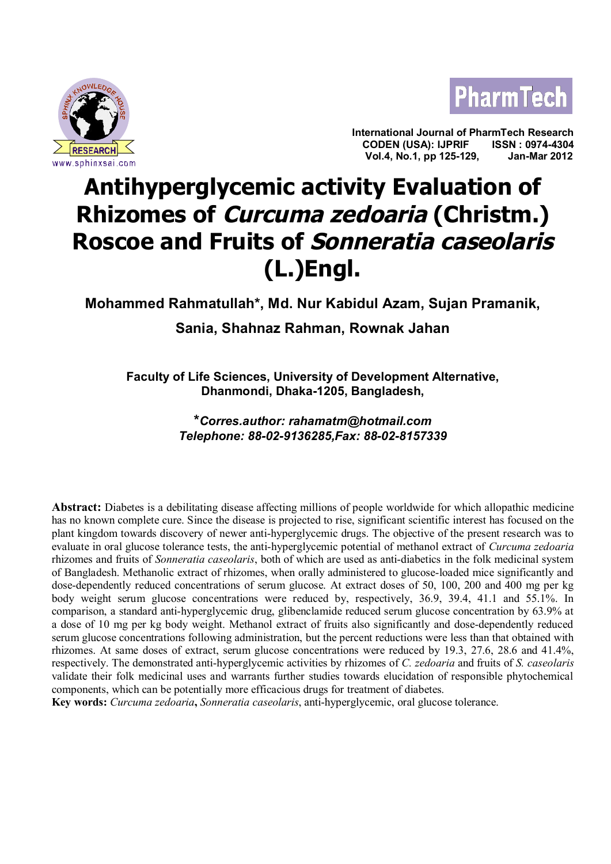



**International Journal of PharmTech Research CODEN (USA): IJPRIF ISSN : 0974-4304** <u>PESEARCHIA ENTERNO CODENTILE ISSINE ISSING USAL</u><br>
Wol.4, No.1, pp 125-129, Jan-Mar 2012

# **Antihyperglycemic activity Evaluation of Rhizomes of Curcuma zedoaria (Christm.) Roscoe and Fruits of Sonneratia caseolaris (L.)Engl.**

# **Mohammed Rahmatullah\*, Md. Nur Kabidul Azam, Sujan Pramanik,**

# **Sania, Shahnaz Rahman, Rownak Jahan**

**Faculty of Life Sciences, University of Development Alternative, Dhanmondi, Dhaka-1205, Bangladesh,**

> **\****Corres.author: rahamatm@hotmail.com Telephone: 88-02-9136285,Fax: 88-02-8157339*

**Abstract:** Diabetes is a debilitating disease affecting millions of people worldwide for which allopathic medicine has no known complete cure. Since the disease is projected to rise, significant scientific interest has focused on the plant kingdom towards discovery of newer anti-hyperglycemic drugs. The objective of the present research was to evaluate in oral glucose tolerance tests, the anti-hyperglycemic potential of methanol extract of *Curcuma zedoaria* rhizomes and fruits of *Sonneratia caseolaris*, both of which are used as anti-diabetics in the folk medicinal system of Bangladesh. Methanolic extract of rhizomes, when orally administered to glucose-loaded mice significantly and dose-dependently reduced concentrations of serum glucose. At extract doses of 50, 100, 200 and 400 mg per kg body weight serum glucose concentrations were reduced by, respectively, 36.9, 39.4, 41.1 and 55.1%. In comparison, a standard anti-hyperglycemic drug, glibenclamide reduced serum glucose concentration by 63.9% at a dose of 10 mg per kg body weight. Methanol extract of fruits also significantly and dose-dependently reduced serum glucose concentrations following administration, but the percent reductions were less than that obtained with rhizomes. At same doses of extract, serum glucose concentrations were reduced by 19.3, 27.6, 28.6 and 41.4%, respectively. The demonstrated anti-hyperglycemic activities by rhizomes of *C. zedoaria* and fruits of *S. caseolaris* validate their folk medicinal uses and warrants further studies towards elucidation of responsible phytochemical components, which can be potentially more efficacious drugs for treatment of diabetes.

**Key words:** *Curcuma zedoaria***,** *Sonneratia caseolaris*, anti-hyperglycemic, oral glucose tolerance.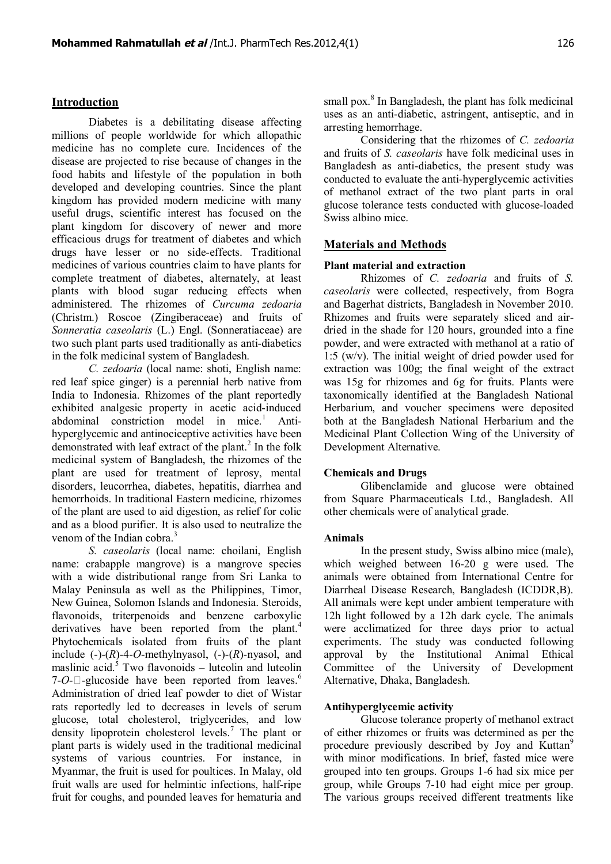### **Introduction**

Diabetes is a debilitating disease affecting millions of people worldwide for which allopathic medicine has no complete cure. Incidences of the disease are projected to rise because of changes in the food habits and lifestyle of the population in both developed and developing countries. Since the plant kingdom has provided modern medicine with many useful drugs, scientific interest has focused on the plant kingdom for discovery of newer and more efficacious drugs for treatment of diabetes and which drugs have lesser or no side-effects. Traditional medicines of various countries claim to have plants for complete treatment of diabetes, alternately, at least plants with blood sugar reducing effects when administered. The rhizomes of *Curcuma zedoaria* (Christm.) Roscoe (Zingiberaceae) and fruits of *Sonneratia caseolaris* (L.) Engl. (Sonneratiaceae) are two such plant parts used traditionally as anti-diabetics in the folk medicinal system of Bangladesh.

*C. zedoaria* (local name: shoti, English name: red leaf spice ginger) is a perennial herb native from India to Indonesia. Rhizomes of the plant reportedly exhibited analgesic property in acetic acid-induced abdominal constriction model in mice.<sup>1</sup> Antihyperglycemic and antinociceptive activities have been demonstrated with leaf extract of the plant. $^{2}$  In the folk medicinal system of Bangladesh, the rhizomes of the plant are used for treatment of leprosy, mental disorders, leucorrhea, diabetes, hepatitis, diarrhea and hemorrhoids. In traditional Eastern medicine, rhizomes of the plant are used to aid digestion, as relief for colic and as a blood purifier. It is also used to neutralize the venom of the Indian cobra.<sup>3</sup>

*S. caseolaris* (local name: choilani, English name: crabapple mangrove) is a mangrove species with a wide distributional range from Sri Lanka to Malay Peninsula as well as the Philippines, Timor, New Guinea, Solomon Islands and Indonesia. Steroids, flavonoids, triterpenoids and benzene carboxylic derivatives have been reported from the plant.<sup>4</sup> Phytochemicals isolated from fruits of the plant include (-)-(*R*)-4-*O*-methylnyasol, (-)-(*R*)-nyasol, and maslinic acid. $5$  Two flavonoids – luteolin and luteolin 7- $O$ - $\square$ -glucoside have been reported from leaves.<sup>6</sup> Administration of dried leaf powder to diet of Wistar rats reportedly led to decreases in levels of serum glucose, total cholesterol, triglycerides, and low density lipoprotein cholesterol levels.<sup>7</sup> The plant or plant parts is widely used in the traditional medicinal systems of various countries. For instance, in Myanmar, the fruit is used for poultices. In Malay, old fruit walls are used for helmintic infections, half-ripe fruit for coughs, and pounded leaves for hematuria and

small pox.<sup>8</sup> In Bangladesh, the plant has folk medicinal uses as an anti-diabetic, astringent, antiseptic, and in arresting hemorrhage.

Considering that the rhizomes of *C. zedoaria* and fruits of *S. caseolaris* have folk medicinal uses in Bangladesh as anti-diabetics, the present study was conducted to evaluate the anti-hyperglycemic activities of methanol extract of the two plant parts in oral glucose tolerance tests conducted with glucose-loaded Swiss albino mice.

## **Materials and Methods**

# **Plant material and extraction**

Rhizomes of *C. zedoaria* and fruits of *S. caseolaris* were collected, respectively, from Bogra and Bagerhat districts, Bangladesh in November 2010. Rhizomes and fruits were separately sliced and airdried in the shade for 120 hours, grounded into a fine powder, and were extracted with methanol at a ratio of 1:5 (w/v). The initial weight of dried powder used for extraction was 100g; the final weight of the extract was 15g for rhizomes and 6g for fruits. Plants were taxonomically identified at the Bangladesh National Herbarium, and voucher specimens were deposited both at the Bangladesh National Herbarium and the Medicinal Plant Collection Wing of the University of Development Alternative.

#### **Chemicals and Drugs**

Glibenclamide and glucose were obtained from Square Pharmaceuticals Ltd., Bangladesh. All other chemicals were of analytical grade.

#### **Animals**

In the present study, Swiss albino mice (male), which weighed between 16-20 g were used. The animals were obtained from International Centre for Diarrheal Disease Research, Bangladesh (ICDDR,B). All animals were kept under ambient temperature with 12h light followed by a 12h dark cycle. The animals were acclimatized for three days prior to actual experiments. The study was conducted following approval by the Institutional Animal Ethical Committee of the University of Development Alternative, Dhaka, Bangladesh.

#### **Antihyperglycemic activity**

Glucose tolerance property of methanol extract of either rhizomes or fruits was determined as per the procedure previously described by Joy and Kuttan<sup>9</sup> with minor modifications. In brief, fasted mice were grouped into ten groups. Groups 1-6 had six mice per group, while Groups 7-10 had eight mice per group. The various groups received different treatments like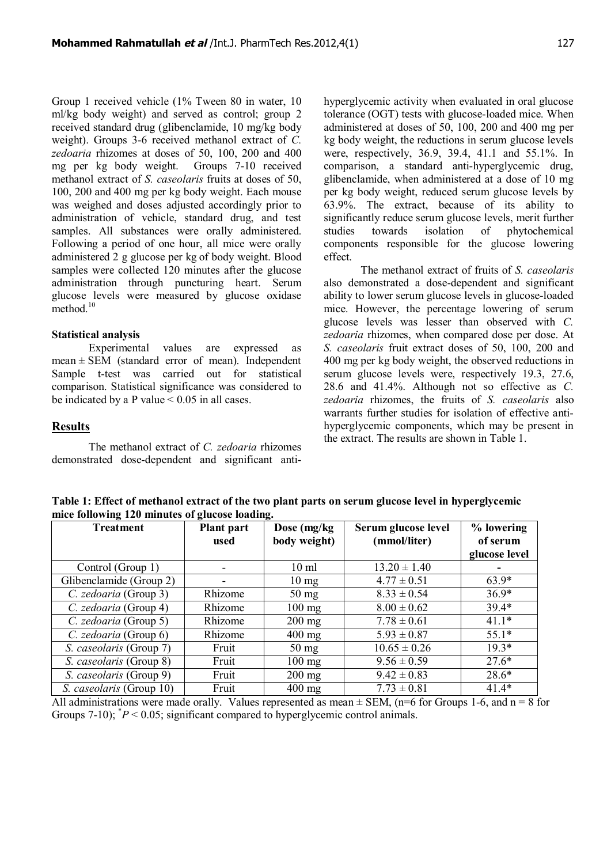Group 1 received vehicle (1% Tween 80 in water, 10 ml/kg body weight) and served as control; group 2 received standard drug (glibenclamide, 10 mg/kg body weight). Groups 3-6 received methanol extract of *C. zedoaria* rhizomes at doses of 50, 100, 200 and 400 mg per kg body weight. Groups 7-10 received methanol extract of *S. caseolaris* fruits at doses of 50, 100, 200 and 400 mg per kg body weight. Each mouse was weighed and doses adjusted accordingly prior to administration of vehicle, standard drug, and test samples. All substances were orally administered. Following a period of one hour, all mice were orally administered 2 g glucose per kg of body weight. Blood samples were collected 120 minutes after the glucose administration through puncturing heart. Serum glucose levels were measured by glucose oxidase method. $10$ 

#### **Statistical analysis**

Experimental values are expressed as  $mean \pm SEM$  (standard error of mean). Independent Sample t-test was carried out for statistical comparison. Statistical significance was considered to be indicated by a P value  $\leq 0.05$  in all cases.

**Results**

The methanol extract of *C. zedoaria* rhizomes demonstrated dose-dependent and significant antihyperglycemic activity when evaluated in oral glucose tolerance (OGT) tests with glucose-loaded mice. When administered at doses of 50, 100, 200 and 400 mg per kg body weight, the reductions in serum glucose levels were, respectively, 36.9, 39.4, 41.1 and 55.1%. In comparison, a standard anti-hyperglycemic drug, glibenclamide, when administered at a dose of 10 mg per kg body weight, reduced serum glucose levels by 63.9%. The extract, because of its ability to significantly reduce serum glucose levels, merit further studies towards isolation of phytochemical components responsible for the glucose lowering effect.

The methanol extract of fruits of *S. caseolaris* also demonstrated a dose-dependent and significant ability to lower serum glucose levels in glucose-loaded mice. However, the percentage lowering of serum glucose levels was lesser than observed with *C. zedoaria* rhizomes, when compared dose per dose. At *S. caseolaris* fruit extract doses of 50, 100, 200 and 400 mg per kg body weight, the observed reductions in serum glucose levels were, respectively 19.3, 27.6, 28.6 and 41.4%. Although not so effective as *C. zedoaria* rhizomes, the fruits of *S. caseolaris* also warrants further studies for isolation of effective antihyperglycemic components, which may be present in the extract. The results are shown in Table 1.

**Table 1: Effect of methanol extract of the two plant parts on serum glucose level in hyperglycemic mice following 120 minutes of glucose loading.**

| <b>Treatment</b>         | <b>Plant part</b><br>used | Dose (mg/kg)<br>body weight) | Serum glucose level<br>(mmol/liter) | % lowering<br>of serum |
|--------------------------|---------------------------|------------------------------|-------------------------------------|------------------------|
|                          |                           |                              |                                     | glucose level          |
| Control (Group 1)        | -                         | $10 \text{ ml}$              | $13.20 \pm 1.40$                    |                        |
| Glibenclamide (Group 2)  | -                         | $10 \text{ mg}$              | $4.77 \pm 0.51$                     | $63.9*$                |
| C. zedoaria (Group 3)    | Rhizome                   | $50 \text{ mg}$              | $8.33 \pm 0.54$                     | $36.9*$                |
| C. zedoaria (Group 4)    | Rhizome                   | $100$ mg                     | $8.00 \pm 0.62$                     | $39.4*$                |
| C. zedoaria (Group 5)    | Rhizome                   | $200$ mg                     | $7.78 \pm 0.61$                     | $41.1*$                |
| C. zedoaria (Group 6)    | Rhizome                   | $400$ mg                     | $5.93 \pm 0.87$                     | $55.1*$                |
| S. caseolaris (Group 7)  | Fruit                     | $50 \text{ mg}$              | $10.65 \pm 0.26$                    | $19.3*$                |
| S. caseolaris (Group 8)  | Fruit                     | $100$ mg                     | $9.56 \pm 0.59$                     | $27.6*$                |
| S. caseolaris (Group 9)  | Fruit                     | $200$ mg                     | $9.42 \pm 0.83$                     | $28.6*$                |
| S. caseolaris (Group 10) | Fruit                     | $400$ mg                     | $7.73 \pm 0.81$                     | $41.4*$                |

All administrations were made orally. Values represented as mean  $\pm$  SEM, (n=6 for Groups 1-6, and n = 8 for Groups 7-10);  $^*P < 0.05$ ; significant compared to hyperglycemic control animals.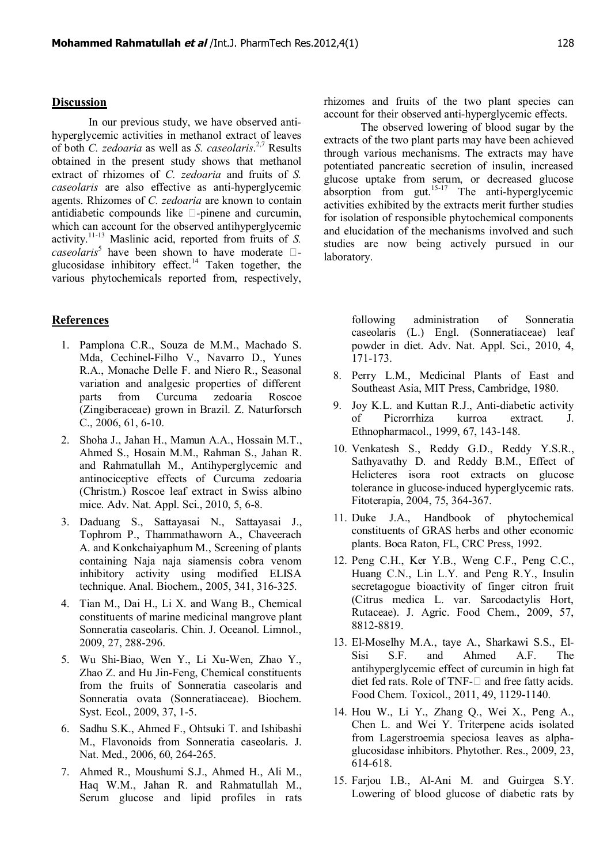#### **Discussion**

In our previous study, we have observed antihyperglycemic activities in methanol extract of leaves of both *C. zedoaria* as well as *S. caseolaris*. 2,7 Results obtained in the present study shows that methanol extract of rhizomes of *C. zedoaria* and fruits of *S. caseolaris* are also effective as anti-hyperglycemic agents. Rhizomes of *C. zedoaria* are known to contain antidiabetic compounds like  $\square$ -pinene and curcumin, which can account for the observed antihyperglycemic activity.11-13 Maslinic acid, reported from fruits of *S.*  $caseolaris<sup>5</sup>$  have been shown to have moderate  $\Box$ glucosidase inhibitory effect.<sup>14</sup> Taken together, the various phytochemicals reported from, respectively,

## **References**

- 1. Pamplona C.R., Souza de M.M., Machado S. Mda, Cechinel-Filho V., Navarro D., Yunes R.A., Monache Delle F. and Niero R., Seasonal variation and analgesic properties of different parts from Curcuma zedoaria Roscoe (Zingiberaceae) grown in Brazil. Z. Naturforsch C., 2006, 61, 6-10.
- 2. Shoha J., Jahan H., Mamun A.A., Hossain M.T., Ahmed S., Hosain M.M., Rahman S., Jahan R. and Rahmatullah M., Antihyperglycemic and antinociceptive effects of Curcuma zedoaria (Christm.) Roscoe leaf extract in Swiss albino mice. Adv. Nat. Appl. Sci., 2010, 5, 6-8.
- 3. Daduang S., Sattayasai N., Sattayasai J., Tophrom P., Thammathaworn A., Chaveerach A. and Konkchaiyaphum M., Screening of plants containing Naja naja siamensis cobra venom inhibitory activity using modified ELISA technique. Anal. Biochem., 2005, 341, 316-325.
- 4. Tian M., Dai H., Li X. and Wang B., Chemical constituents of marine medicinal mangrove plant Sonneratia caseolaris. Chin. J. Oceanol. Limnol., 2009, 27, 288-296.
- 5. Wu Shi-Biao, Wen Y., Li Xu-Wen, Zhao Y., Zhao Z. and Hu Jin-Feng, Chemical constituents from the fruits of Sonneratia caseolaris and Sonneratia ovata (Sonneratiaceae). Biochem. Syst. Ecol., 2009, 37, 1-5.
- 6. Sadhu S.K., Ahmed F., Ohtsuki T. and Ishibashi M., Flavonoids from Sonneratia caseolaris. J. Nat. Med., 2006, 60, 264-265.
- 7. Ahmed R., Moushumi S.J., Ahmed H., Ali M., Haq W.M., Jahan R. and Rahmatullah M., Serum glucose and lipid profiles in rats

rhizomes and fruits of the two plant species can account for their observed anti-hyperglycemic effects.

The observed lowering of blood sugar by the extracts of the two plant parts may have been achieved through various mechanisms. The extracts may have potentiated pancreatic secretion of insulin, increased glucose uptake from serum, or decreased glucose absorption from gut.<sup>15-17</sup> The anti-hyperglycemic activities exhibited by the extracts merit further studies for isolation of responsible phytochemical components and elucidation of the mechanisms involved and such studies are now being actively pursued in our laboratory.

> following administration of Sonneratia caseolaris (L.) Engl. (Sonneratiaceae) leaf powder in diet. Adv. Nat. Appl. Sci., 2010, 4, 171-173.

- 8. Perry L.M., Medicinal Plants of East and Southeast Asia, MIT Press, Cambridge, 1980.
- 9. Joy K.L. and Kuttan R.J., Anti-diabetic activity of Picrorrhiza kurroa extract. J. Ethnopharmacol., 1999, 67, 143-148.
- 10. Venkatesh S., Reddy G.D., Reddy Y.S.R., Sathyavathy D. and Reddy B.M., Effect of Helicteres isora root extracts on glucose tolerance in glucose-induced hyperglycemic rats. Fitoterapia, 2004, 75, 364-367.
- 11. Duke J.A., Handbook of phytochemical constituents of GRAS herbs and other economic plants. Boca Raton, FL, CRC Press, 1992.
- 12. Peng C.H., Ker Y.B., Weng C.F., Peng C.C., Huang C.N., Lin L.Y. and Peng R.Y., Insulin secretagogue bioactivity of finger citron fruit (Citrus medica L. var. Sarcodactylis Hort, Rutaceae). J. Agric. Food Chem., 2009, 57, 8812-8819.
- 13. El-Moselhy M.A., taye A., Sharkawi S.S., El-Sisi S.F. and Ahmed A.F. The antihyperglycemic effect of curcumin in high fat diet fed rats. Role of TNF- $\square$  and free fatty acids. Food Chem. Toxicol., 2011, 49, 1129-1140.
- 14. Hou W., Li Y., Zhang Q., Wei X., Peng A., Chen L. and Wei Y. Triterpene acids isolated from Lagerstroemia speciosa leaves as alphaglucosidase inhibitors. Phytother. Res., 2009, 23, 614-618.
- 15. Farjou I.B., Al-Ani M. and Guirgea S.Y. Lowering of blood glucose of diabetic rats by